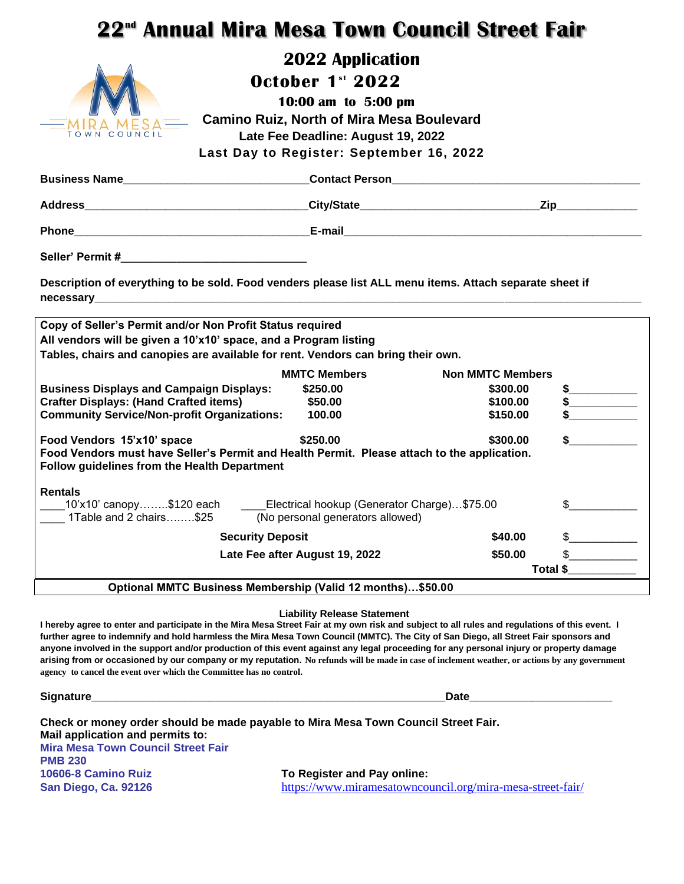# **22 nd Annual Mira Mesa Town Council Street Fair**



## **2022 Application**

 **October** 1<sup>st</sup> 2022

 **10:00 am to 5:00 pm Camino Ruiz, North of Mira Mesa Boulevard Late Fee Deadline: August 19, 2022 Last Day to Register: September 16, 2022**

| Business Name                                                                                                                                      |                     | <b>Contact Person Contact Person</b> |                         |
|----------------------------------------------------------------------------------------------------------------------------------------------------|---------------------|--------------------------------------|-------------------------|
|                                                                                                                                                    |                     |                                      | <u>Zip_____________</u> |
|                                                                                                                                                    |                     |                                      |                         |
|                                                                                                                                                    |                     |                                      |                         |
| Description of everything to be sold. Food venders please list ALL menu items. Attach separate sheet if                                            |                     |                                      |                         |
| Copy of Seller's Permit and/or Non Profit Status required                                                                                          |                     |                                      |                         |
| All vendors will be given a 10'x10' space, and a Program listing                                                                                   |                     |                                      |                         |
| Tables, chairs and canopies are available for rent. Vendors can bring their own.                                                                   |                     |                                      |                         |
|                                                                                                                                                    | <b>MMTC Members</b> | <b>Non MMTC Members</b>              |                         |
| <b>Business Displays and Campaign Displays:</b>                                                                                                    | \$250.00            | \$300.00                             |                         |
| <b>Crafter Displays: (Hand Crafted items)</b>                                                                                                      | \$50.00             | \$100.00                             | \$                      |
| <b>Community Service/Non-profit Organizations:</b>                                                                                                 | 100.00              | \$150.00                             |                         |
| Food Vendors 15'x10' space                                                                                                                         | \$250.00            | \$300.00                             |                         |
| Food Vendors must have Seller's Permit and Health Permit. Please attach to the application.<br><b>Follow guidelines from the Health Department</b> |                     |                                      |                         |
| <b>Rentals</b>                                                                                                                                     |                     |                                      |                         |
| __10'x10' canopy……\$120 each  ____Electrical hookup (Generator Charge)…\$75.00                                                                     |                     |                                      |                         |
| 1Table and 2 chairs\$25 (No personal generators allowed)                                                                                           |                     |                                      |                         |
| <b>Security Deposit</b><br>\$40.00                                                                                                                 |                     |                                      | $\sim$                  |
| Late Fee after August 19, 2022                                                                                                                     |                     | \$50.00                              | $\frac{1}{2}$           |
|                                                                                                                                                    |                     |                                      | Total \$                |
| Optional MMTC Business Membership (Valid 12 months)\$50.00                                                                                         |                     |                                      |                         |

#### **Liability Release Statement**

**I hereby agree to enter and participate in the Mira Mesa Street Fair at my own risk and subject to all rules and regulations of this event. I further agree to indemnify and hold harmless the Mira Mesa Town Council (MMTC). The City of San Diego, all Street Fair sponsors and anyone involved in the support and/or production of this event against any legal proceeding for any personal injury or property damage arising from or occasioned by our company or my reputation. No refunds will be made in case of inclement weather, or actions by any government agency to cancel the event over which the Committee has no control.**

**Signature\_\_\_\_\_\_\_\_\_\_\_\_\_\_\_\_\_\_\_\_\_\_\_\_\_\_\_\_\_\_\_\_\_\_\_\_\_\_\_\_\_\_\_\_\_\_\_\_\_\_\_\_\_\_\_\_\_Date\_\_\_\_\_\_\_\_\_\_\_\_\_\_\_\_\_\_\_\_\_\_\_**

| Mail application and permits to:          | Check or money order should be made payable to Mira Mesa Town Council Street Fair. |
|-------------------------------------------|------------------------------------------------------------------------------------|
| <b>Mira Mesa Town Council Street Fair</b> |                                                                                    |
| <b>PMB 230</b>                            |                                                                                    |
| 10606-8 Camino Ruiz                       | To Register and Pay online:                                                        |
| <b>San Diego, Ca. 92126</b>               | https://www.miramesatowncouncil.org/mira-mesa-street-fair/                         |
|                                           |                                                                                    |